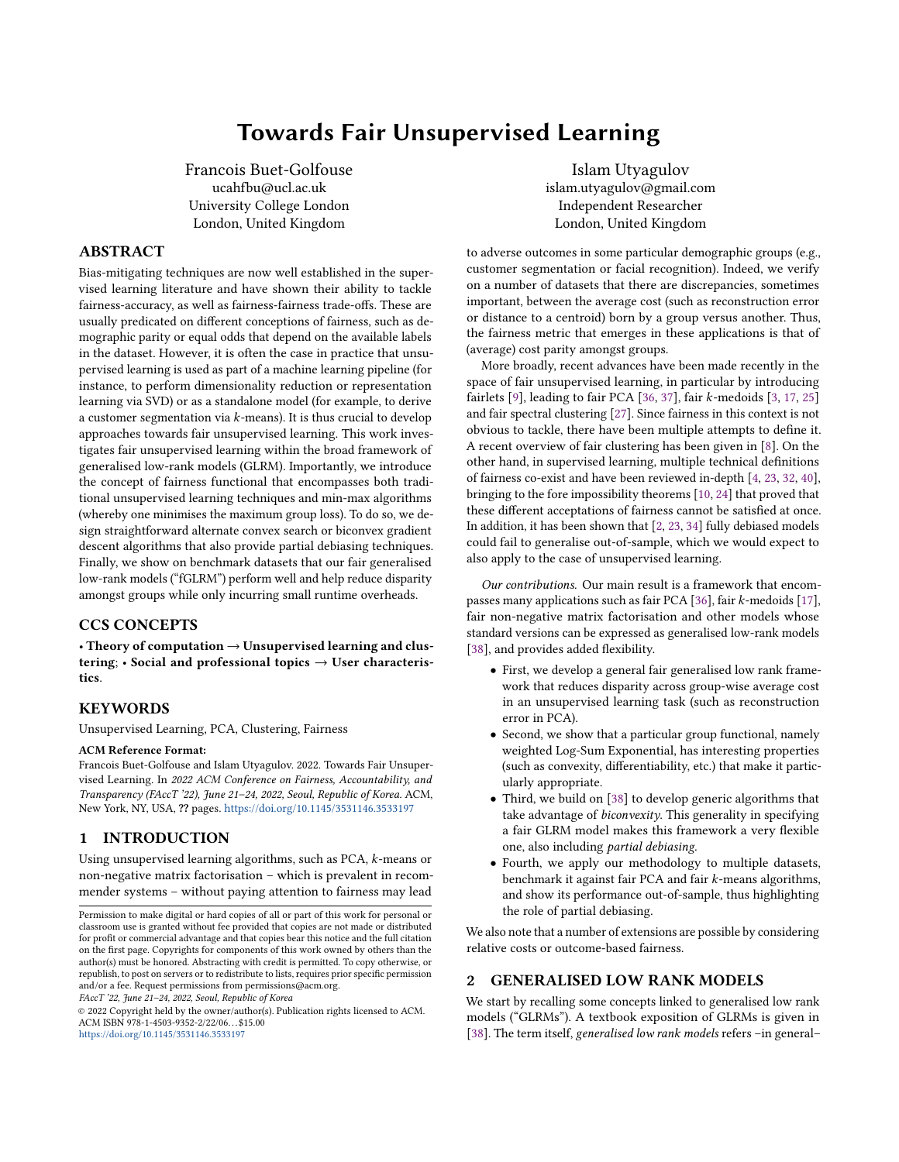# Towards Fair Unsupervised Learning

<span id="page-0-0"></span>Francois Buet-Golfouse ucahfbu@ucl.ac.uk University College London London, United Kingdom

# ABSTRACT

Bias-mitigating techniques are now well established in the supervised learning literature and have shown their ability to tackle fairness-accuracy, as well as fairness-fairness trade-offs. These are usually predicated on different conceptions of fairness, such as demographic parity or equal odds that depend on the available labels in the dataset. However, it is often the case in practice that unsupervised learning is used as part of a machine learning pipeline (for instance, to perform dimensionality reduction or representation learning via SVD) or as a standalone model (for example, to derive a customer segmentation via k-means). It is thus crucial to develop approaches towards fair unsupervised learning. This work investigates fair unsupervised learning within the broad framework of generalised low-rank models (GLRM). Importantly, we introduce the concept of fairness functional that encompasses both traditional unsupervised learning techniques and min-max algorithms (whereby one minimises the maximum group loss). To do so, we design straightforward alternate convex search or biconvex gradient descent algorithms that also provide partial debiasing techniques. Finally, we show on benchmark datasets that our fair generalised low-rank models ("fGLRM") perform well and help reduce disparity amongst groups while only incurring small runtime overheads.

# CCS CONCEPTS

• Theory of computation  $\rightarrow$  Unsupervised learning and clustering;  $\cdot$  Social and professional topics  $\rightarrow$  User characteristics.

#### **KEYWORDS**

Unsupervised Learning, PCA, Clustering, Fairness

#### ACM Reference Format:

Francois Buet-Golfouse and Islam Utyagulov. 2022. Towards Fair Unsupervised Learning. In 2022 ACM Conference on Fairness, Accountability, and Transparency (FAccT '22), June 21–24, 2022, Seoul, Republic of Korea. ACM, New York, NY, USA, ?? pages. <https://doi.org/10.1145/3531146.3533197>

# 1 INTRODUCTION

Using unsupervised learning algorithms, such as PCA, k-means or non-negative matrix factorisation – which is prevalent in recommender systems – without paying attention to fairness may lead

FAccT '22, June 21–24, 2022, Seoul, Republic of Korea

© 2022 Copyright held by the owner/author(s). Publication rights licensed to ACM. ACM ISBN 978-1-4503-9352-2/22/06. . . \$15.00 <https://doi.org/10.1145/3531146.3533197>

Islam Utyagulov islam.utyagulov@gmail.com Independent Researcher London, United Kingdom

to adverse outcomes in some particular demographic groups (e.g., customer segmentation or facial recognition). Indeed, we verify on a number of datasets that there are discrepancies, sometimes important, between the average cost (such as reconstruction error or distance to a centroid) born by a group versus another. Thus, the fairness metric that emerges in these applications is that of (average) cost parity amongst groups.

More broadly, recent advances have been made recently in the space of fair unsupervised learning, in particular by introducing fairlets [\[9\]](#page-9-0), leading to fair PCA [\[36,](#page-9-1) [37\]](#page-9-2), fair k-medoids [\[3,](#page-9-3) [17,](#page-9-4) [25\]](#page-9-5) and fair spectral clustering [\[27\]](#page-9-6). Since fairness in this context is not obvious to tackle, there have been multiple attempts to define it. A recent overview of fair clustering has been given in [\[8\]](#page-9-7). On the other hand, in supervised learning, multiple technical definitions of fairness co-exist and have been reviewed in-depth [\[4,](#page-9-8) [23,](#page-9-9) [32,](#page-9-10) [40\]](#page-9-11), bringing to the fore impossibility theorems [\[10,](#page-9-12) [24\]](#page-9-13) that proved that these different acceptations of fairness cannot be satisfied at once. In addition, it has been shown that [\[2,](#page-9-14) [23,](#page-9-9) [34\]](#page-9-15) fully debiased models could fail to generalise out-of-sample, which we would expect to also apply to the case of unsupervised learning.

Our contributions. Our main result is a framework that encompasses many applications such as fair PCA [\[36\]](#page-9-1), fair k-medoids [\[17\]](#page-9-4), fair non-negative matrix factorisation and other models whose standard versions can be expressed as generalised low-rank models [\[38\]](#page-9-16), and provides added flexibility.

- First, we develop a general fair generalised low rank framework that reduces disparity across group-wise average cost in an unsupervised learning task (such as reconstruction error in PCA).
- Second, we show that a particular group functional, namely weighted Log-Sum Exponential, has interesting properties (such as convexity, differentiability, etc.) that make it particularly appropriate.
- Third, we build on [\[38\]](#page-9-16) to develop generic algorithms that take advantage of biconvexity. This generality in specifying a fair GLRM model makes this framework a very flexible one, also including partial debiasing.
- Fourth, we apply our methodology to multiple datasets, benchmark it against fair PCA and fair k-means algorithms, and show its performance out-of-sample, thus highlighting the role of partial debiasing.

We also note that a number of extensions are possible by considering relative costs or outcome-based fairness.

# 2 GENERALISED LOW RANK MODELS

We start by recalling some concepts linked to generalised low rank models ("GLRMs"). A textbook exposition of GLRMs is given in [\[38\]](#page-9-16). The term itself, generalised low rank models refers -in general-

Permission to make digital or hard copies of all or part of this work for personal or classroom use is granted without fee provided that copies are not made or distributed for profit or commercial advantage and that copies bear this notice and the full citation on the first page. Copyrights for components of this work owned by others than the author(s) must be honored. Abstracting with credit is permitted. To copy otherwise, or republish, to post on servers or to redistribute to lists, requires prior specific permission and/or a fee. Request permissions from permissions@acm.org.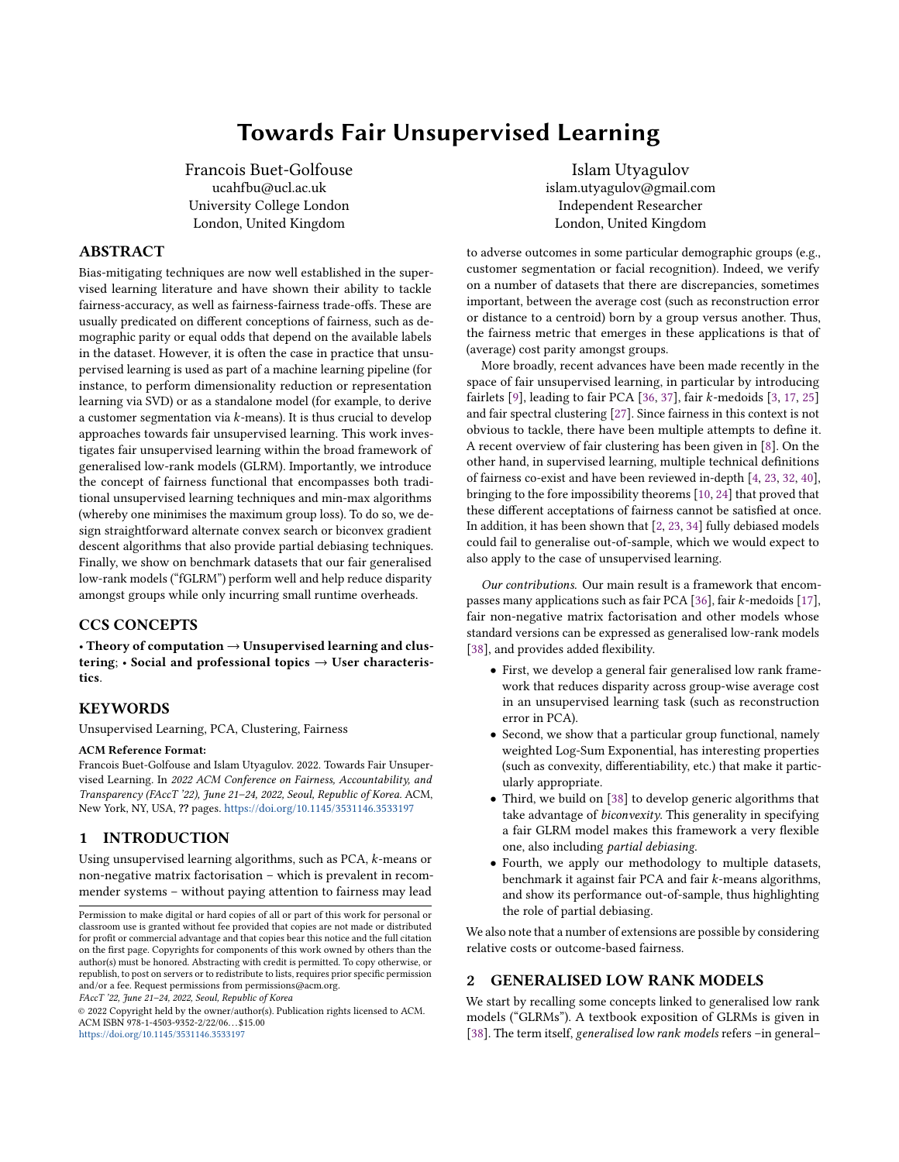to the approximation of a data matrix by the product of two lowdimensional factors.

Definition 1. A generalised low rank model is defined based on the following elements:

- (1) An  $n \times p$  data matrix A and a (lower) dimension d;
- (2) Element-wise (usually biconvex) loss functions  $\ell_{i,j}$ , (usu-<br>ally convex) penalty functions  $r_i$  and  $\tilde{r}_i$  for all  $i$  i and an ally convex) penalty functions  $r_i$  and  $\tilde{r}_j$  for all *i*, *j*, and an objective function  $\tilde{\mathcal{L}}$  written as

<span id="page-1-0"></span>
$$
\tilde{\mathcal{L}}(X,Y) = \frac{1}{|\Omega|} \sum_{(i,j)\in\Omega} \ell_{i,j}(x_i \cdot y_j, A_{i,j}) + \sum_{i=1}^n r_i(x_i) + \sum_{j=1}^p \tilde{r}_j(y_j),
$$
 (1)

where  $x_i \in \mathbb{R}^d$  and  $y_j \in \mathbb{R}^d$  for all  $i, j$ . The matrices X and X correspond to the stacked vectors Y correspond to the stacked vectors.

Remark <sup>1</sup>. In this work, we understand the matrix Y made up of the row entries  $y_j$   $(j = 1, \dots, p)$  as the *dictionary* to be learnt and the matrix X made up of the row entries  $x_i$ ,  $(i = 1, \dots, n)$  as the the matrix X made up of the row entries  $x_i$   $(i = 1, \dots, n)$  as the individual weights individual weights.

Let us now provide some examples:

- (1) By choosing  $\ell_{i,j}(u, a) = (u a)^2$ , one recovers PCA.<br>(2) Similarly robust PCA can be obtained by picking  $\ell_{i,j}$ .
- (2) Similarly, robust PCA can be obtained by picking  $\ell_{i,j}(u, a) =$  $|u - a|$  with  $r(x) = \gamma/2||x||_2^2$  and  $\tilde{r}(y) = \gamma/2||y||_2^2$ .<br>On the other hand, setting  $r(x) = 0$  if  $x > 0$  and
- (3) On the other hand, setting  $r(x) = 0$  if  $x \ge 0$  and + $\infty$  otherwise, with the same definition for  $\tilde{r}$  leads to non-negative matrix factorisation ("NNMF").
- (4) Finally, picking  $r(x) = 0$  if  $x = e_l$  for some  $l \in \{1, \dots d\}$  and  $\pm \infty$  otherwise while  $\tilde{r}(u) = 0$  leads to the usual *k*-means +∞ otherwise, while  $\tilde{r}(y) = 0$ , leads to the usual k-means clustering problem.

Many more applications (such as subspace clustering) can be shown to fit the generic GLRM form [\[38\]](#page-9-16).

## 3 FAIRNESS IN UNSUPERVISED LEARNING

#### 3.1 Literature review

The relationship between fairness in supervised and unsupervised learning is not straightforward. Many notions of fairness in supervised learning (such as classification and scoring [\[11,](#page-9-17) [19,](#page-9-18) [24\]](#page-9-13)) focus on a single learning task, whereas unsupervised learning considers a generic transformation of the data. While fairness in unsupervised learning has recently become a major theme of research, fair PCA –for instance– can be seen directly in the line of earlier attempts to reduce the correlation between a protected (or sensitive) attribute [\[6,](#page-9-19) [41\]](#page-9-20).

For the sake of brevity, we do not give an exhaustive account of fairness in unsupervised learning. It is tempting to consider [\[31\]](#page-9-21) as an early attempt at introducing (invidual) fairness in clustering. By adapting the notion of disparate impact to clustering and introducing the notion of fairlets (i.e., minimal sets that satisfy fair representation while approximately preserving the clustering objective), [\[9\]](#page-9-0) paved the way for much of the work in the field. [\[36,](#page-9-1) [37\]](#page-9-2) explore PCA and dimensionality reduction with multiple constraints, with an application to fairness. In [\[27\]](#page-9-6), the authors tackle the case of spectral clustering. [\[1\]](#page-9-22) proposes a generic approach to fair clustering, including k-medoids and considers a minmax criterion across groups. On a different note, [\[7\]](#page-9-23) tackles the issue of data summarisation via a determinantal measure of diversity.

Furthermore, work in fair recommender systems (which include some matrix factorisation techniques) has grown due to the better understanding of certain phenomena such as echo chambers or filter bubbles. In addition to biases linked to certain protected characteristics (such as poor performance of recommender systems to serve under-represented minority groups), specific issues have appeared such as user under-representation [\[29\]](#page-9-24) and item underrecommendation (also known as popularity bias) [\[42\]](#page-9-25).

## 3.2 Fairness criteria

As a result of unsupervised learning's diversity and breadth, multiple notions of fairness have been put forward for (or adapted to) unsupervised learning, including social fairness, balance fairness and individual fairness. Let us now give a brief account of these different criteria.

- (1) The social fairness criterion was introduced in unsupervised learning in [\[17\]](#page-9-4), where it was applied to a clustering problem and further developed in [\[1,](#page-9-22) [30\]](#page-9-26). In short, it requires that the average cost (e.g., reconstruction loss in PCA or distance to medoid in clustering) be the same across groups. This can be tackled by minimising the maximum of groups' average costs. Note that it has had a long history since it was introduced by philosopher John Rawls in his Theory of Justice [\[35\]](#page-9-27) as a justice criterion ("maximin") applied to the usual utilitarian framework.
- (2) Similarly, the principle according to which different groups should have the same distribution across clusters can be traced back to [\[9\]](#page-9-0), where the authors posit the notion of balance fairness, which they attack through so-called "fairlets". A related concept is that of bounded representation [\[3\]](#page-9-3), which requires that the proportion of a group in each cluster be between two pre-specified values. The maximum fairness cost [\[17\]](#page-9-4) is the maximum of the sum of all deviations from the ideal proportion for each protected group in a cluster.
- (3) Last, individual fairness compares the statistical distance between two points obtained from their inputs and the algorithm's output distribution and mandates that two similar inputs should have similar outputs. This paradigm was first used in [\[31\]](#page-9-21) for clustering and further adapted by [\[26\]](#page-9-28).

Many more concepts exist [\[8\]](#page-9-7) (the reader is also referred to [\[32\]](#page-9-10) for an overview of such concepts in supervised learning) but this paper focuses primarily on social fairness-type of metrics. Note, however, that –as pointed out in Section [6–](#page-4-0) the proposed framework can be easily adapted to other fairness notions.

# 4 GROUP FUNCTIONALS

In this Section, we introduce the key insight of our proposal, namely that of a group function. Suppose that there are  $K$  (distinct) groups,  $k = 1, \dots, K$ , corresponding, say, to the K categories of the protected characteristic s. We can thus introduce the corresponding partition of Ω

$$
\Omega = \Omega_1 \cup \Omega_2 \cup \cdots \cup \Omega_K, \tag{2}
$$

such that the intersection between any  $\Omega_k$  and  $\Omega_{k'}$  is empty.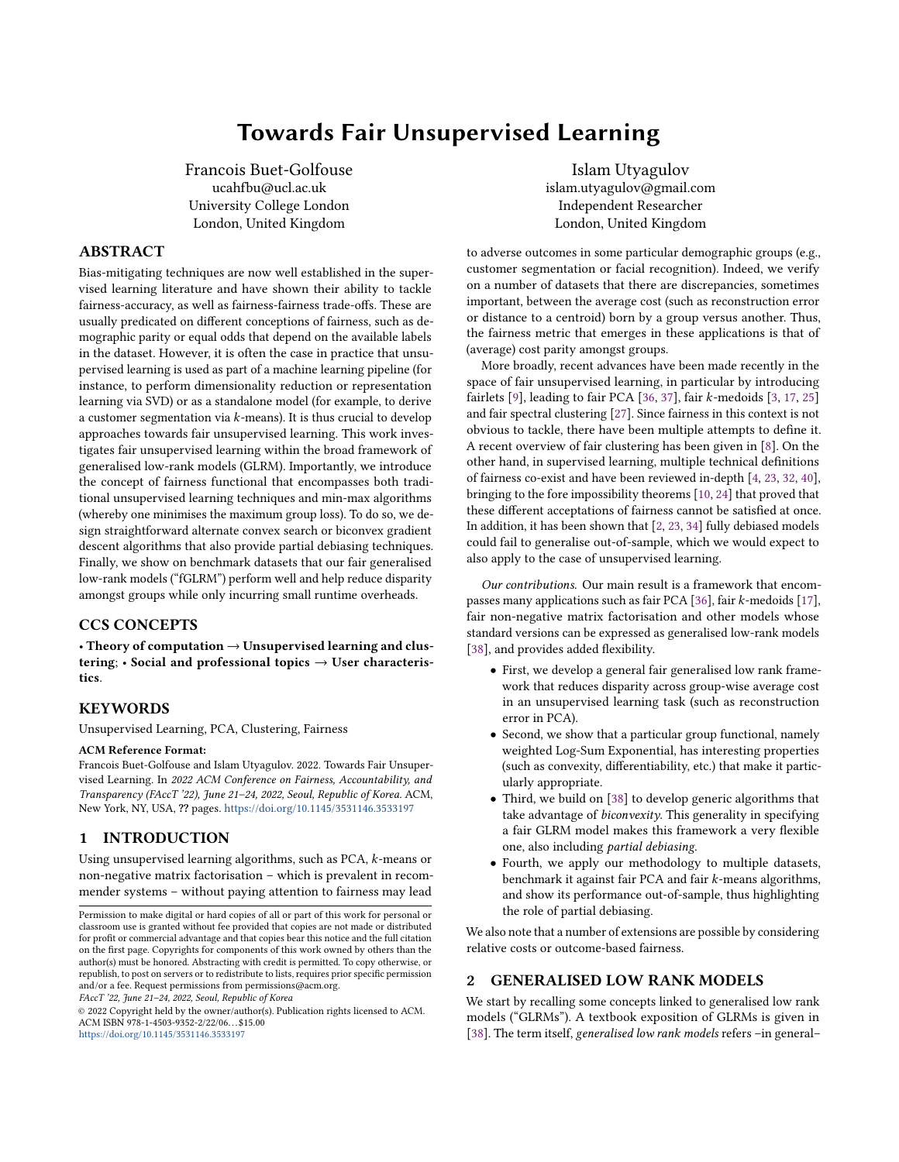#### 4.1 Motivation

It is immediate to notice that Equation [1](#page-1-0) is simply

$$
\tilde{\mathcal{L}}(X,Y) = \sum_{k=1}^{K} \frac{|\Omega_k|}{|\Omega|} z_k(X,Y) + \sum_{i=1}^{n} r_i(x_i) + \sum_{j=1}^{p} \tilde{r}_j(y_j), \qquad (3)
$$

where we use the shorthand notation

$$
z_k(X,Y) := \frac{\sum_{(i,j)\in\Omega_k} \ell_{i,j}(x_iy_j,A_{i,j})}{|\Omega_k|},
$$

which can be rewritten as  $\mathcal{L}(X,Y) = T(z_1(X,Y), \cdots, z_K(X,Y))$  + Penalty terms, and  $T(z_1, \dots, z_K) = \sum_{k=1}^K \frac{|\Omega_k|}{|\Omega|}$ <br>is simply a linear combination of the average  $\frac{\Omega_k}{|\Omega|} z_k$ . In particular, T<br>we cost in each group  $\sum_{k=1}^{\infty} \frac{|\Omega|}{|\Omega|} \times \sum_{k=1}^{\infty} \frac{|\Omega|}{|\Omega|}$  is simply a linear combination of the average cost in each group weighted by this group's proportion in the sample.

Fair GLRMs thus consist in finding functionals that are more suited to the task of reducing disparities. Finally, note that, by definition, this setup applies to any model that can be expressed as a generalised low rank model, and thus encompasses not only PCA and k-means, but also sparse PCA (sPCA), non-negative matrix factorisation (NMF), etc.

## 4.2 Fair GLRMs

Recalling the assumptions defining generalised low rank models, this leads us to the definition of fair GLRMs by modifying the loss function:

**Definition 2.** Suppose that  $T : \mathbb{R}^K \to \mathbb{R}$  is a non-decreasing function in each of its arguments, then we define the foir generalised function in each of its arguments, then we define the fair generalised low rank model with respect to  $T$  as minimising the following objective function:

<span id="page-2-0"></span>
$$
\mathcal{L}(X,Y) = T(z_1(X,Y), \cdots, z_K(X,Y)) + \sum_{i=1}^n r_i(x_i) + \sum_{j=1}^p \tilde{r}_j(y_j).
$$
 (4)

While this definition can apply to all functional  $T$ , the ones we consider aim at reducing disparities across groups. Let us now move to some concrete cases.

Remark 2. Last, note that some extreme cases are possible:

- (1) If  $K = 1$  (such that only one group is present), then the fGLRM is equivalent (up to a non-decreasing transformation) to the standard GLRM one.
- (2) If  $K = |i \in \Omega| = n$  (i.e., each row of the data matrix A is a group), then the fairness functional ensures that the maximal individual cost is minimised.

## 4.3 Examples

Let us introduce here some well-known fairness functionals, mostly stemming from the supervised learning literature.

Standard and reweighed loss function. Setting  $T(z_1, \dots, z_K) = \sum_{k=1}^K w_k z_k$ , where  $w_k \ge 0$  ad  $\sum_{k=1}^K w_k = 1$ . When  $w_k = |\Omega_k|/|\Omega|$ , we recover the usual generalized low rank model. If, on the other has been all set of the hand,  $w_k = \frac{1}{K}$ , then this corresponds to the *reweighed* GLRM. K Reweighing is This is akin to some pre-processing techniques used in [\[22\]](#page-9-29) for example.

*Minmax.* Choosing  $T(z_1, \dots, z_K) = \max_{k=1, \dots, K} z_k = ||z||_{\infty}$ leads to a min-max problem. Note that this is the functional implicitly chosen in [\[36\]](#page-9-1) (cf. Lemma 4.8 and Proof of Theorem 4.5 therein) to tackle fair PCA and in  $[17]$  to handle k-means. The minmax approach has the intuitive justification

(Weighted)  $L^p$  norms. A possible choice is a weighted  $L^p$  norm  $T(z_1, \dots, z_K) = \left(\sum_{k=1}^K w_k z_k^p\right)$ k  $\int_{0}^{\frac{1}{p}}$  =  $||z||_{p,\mathbf{w}}$ . If the weights are uniform, then it follows that  $T(z_1, \dots, z_K) \propto ||z||_p$ , which is –up to a simple transformation – a setup used in [28]. In particular since the simple transformation– a setup used in [\[28\]](#page-9-30). In particular, since the limit of the  $\|\cdot\|_p$  norm is the  $\|\cdot\|_{\infty}$  norm as  $p \to +\infty$ , one recovers the minmax formulation as an extreme case.

Penalised learning. Adding a term penalising unfairness and disparities is fairly common to (partially) debias supervised learning algorithms [\[13,](#page-9-31) [39\]](#page-9-32) and leads to fairness functionals of the type  $T(z_1, \dots, z_K) = \sum_{k=1}^K w_k z_k + \lambda \sum_{k,k'} d(z_k, z_{k'})$ , where d is a cho-<br>can distance (such as L an L<sup>2</sup>) and L > 0 tunes the tunde of he  $k(2_1, \dots, 2_K) = \sum_{k=1} w_k z_k + \lambda \sum_{k,k'} a(z_k, z_{k'})$ , where a is a cho-<br>sen distance (such as  $L^1$  or  $L^2$ ) and  $\lambda > 0$  tunes the trade-off between the statistical loss and the disparity penalty term. One may avoid the double sum in the penalty term by considering instead  $\sum_{k=1}^K w_k z_k + \lambda \sum_{k'} d$  $z_{k'}$ ,  $\sum_{k=1}^{K} w_k z_k$ .

Building new fairness functionals from old ones. From J existing fairness functionals  $T_1, \dots, T_J$ , one can create a new functional  $\bar{V}$ 

$$
V(z_1, \cdots, z_K) = \mathcal{M}\left(T_1(z_1, \cdots, z_K) \cdots, T_J(z_1, \cdots, z_K)\right), \quad (5)
$$

where  $\mathcal{M}:\mathbb{R}^J\mapsto\mathbb{R}$  is a function that is non-decreasing in each of its components. The most straightforward example is to pick a convex combination of fairness functionals

$$
V(z_1,\dots, z_K)=\sum_{j=1}^J\lambda_jT_j(z_1,\dots, z_K),
$$

where  $\lambda_j \ge 0$  and  $\sum_{j=1}^J \lambda_j = 1$ . For instance, one may consider functions V that "internalate" between the usual average loss and functions V that "interpolate" between the usual average loss and the minmax case, as one may wish to control the fairness-accuracy control. For instance, one can pick  $\gamma \in (0, 1)$  such that

$$
V(z_1, \cdots, z_K) = \lambda \left( \sum_{k=1}^K w_k z_k \right) + (1 - \lambda) \max(z_1, \cdots, z_K) \quad (6)
$$

However, in this work, we consider a specific group functional (but most considerations apply to any  $T$ ).

#### 4.4 Bayesian interpretation

The traditional GLRM framework offers a natural Bayesian interpretation, following [\[15\]](#page-9-33). Indeed, the minimisation of an fGLRM objective in Equation [4](#page-2-0) can be seen as a maximum a posteriori problem, such that the hierarchical Bayesian model reads:

$$
e^{-T(z_1(X,Y),\cdots,z_K(X,Y))}\cdot \prod_{i=1}^n e^{-r_i(x_i)}\cdot \prod_{j=1}^p e^{-\tilde{r}_j(y_j)},\qquad(7)
$$

where the prior distributions on  $x_i$  and  $y_j$  have probability density functions proportional to  $e^{-r_i(x_i)}$  and  $e^{-\tilde{r}_j(y_j)}$  respectively. In the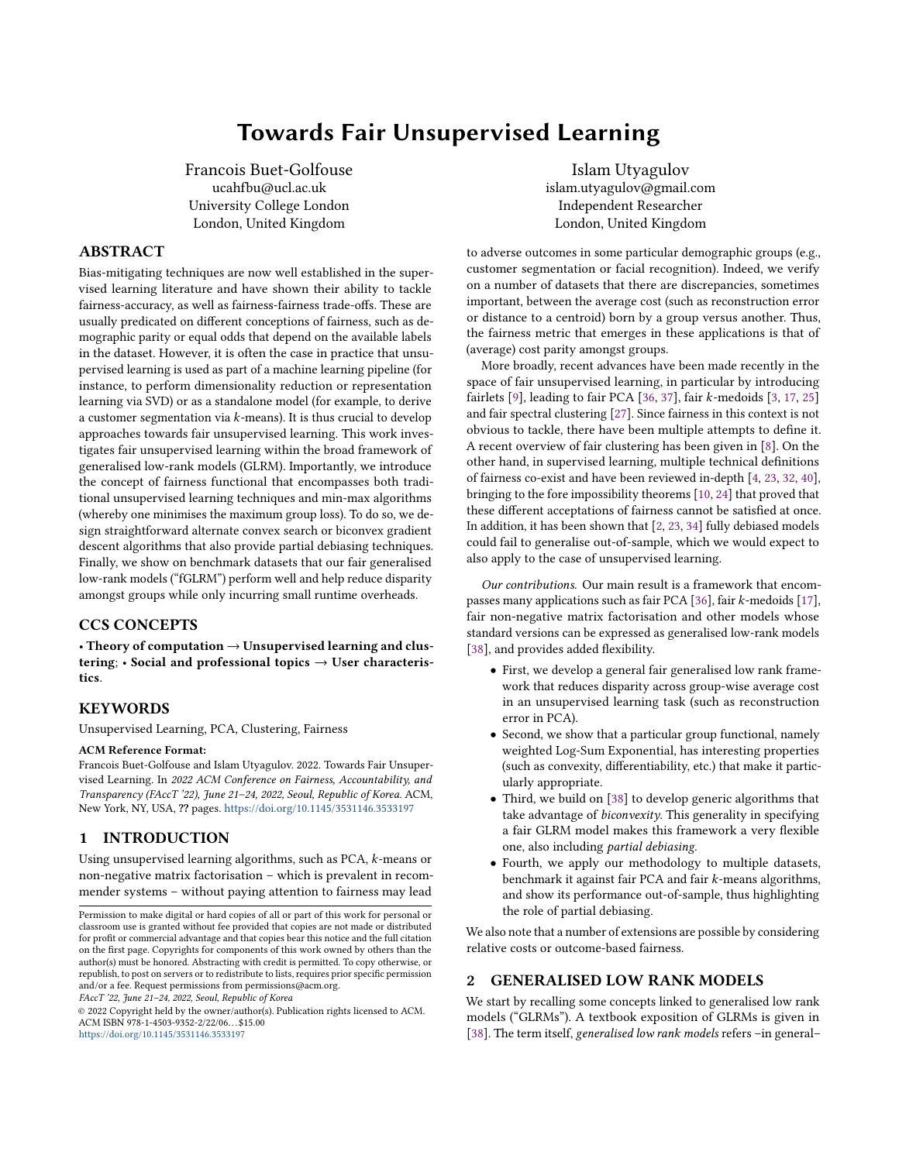case of  $T(z_1, \dots, z_K) = \sum_{k=1}^K w_k z_k$ , we recover

$$
e^{-T(z_1(X,Y),\cdots,z_K(X,Y))} = \prod_{(i,j)\in\Omega} e^{-\frac{w_{k(i)}}{|\Omega_{k(i)}|} \ell_{i,j}(x_i\cdot y_j;A_{ij})}
$$

In short, in this example, each entry  $A_{i,j}$  is taken to be independent,<br>but not necessarily identically distributed, depending on the values but not necessarily identically distributed, depending on the values of the ratio  $\frac{w_{k(i)}}{|\Omega_{k(i)}|}$ | .

However, generally, the product structure is not preserved and the group functional  $T$  introduces some dependence across observations, so that the observations  $A_{ij}$  are not independent anymore. Similarly, if one adopts the outcome-based version of fGLRMs in Equation 29 in Appendix E.3, then the prior distributions are not independent either. To summarise, fair GLRMs induce a dependent hierarchical Bayesian model.

#### 4.5 Log-Sum Exponential Functional

Throughout this work, the main fairness functional that we use is the weighted Log-Sum Exponential (LSE) due to its many desirable properties and its ability to interpolate between the standard GLRM and the minmax programme.

4.5.1 Defining wLSE. We introduce the weighted (scaled) Log-Sum Exponential, that is a (small) generalisation of the usual Log-Sum Exponential, which is widely used in other machine learning applications (see [\[33\]](#page-9-34)).

Definition 3. The weighted Log-Sum-Exponential ("wLSE") is defined as

<span id="page-3-0"></span>
$$
T(z_1, \cdots, z_K) = \frac{1}{\alpha} \log \left( \sum_{k=1}^K w_k \ e^{\alpha z_k} \right),\tag{8}
$$

where  $\alpha > 0$ ,  $w_k \ge 0$  for all k and  $\sum_{k=1}^{K} w_k = 1$ .

Remark 3. First, let us point out that the weight normalisation requirement is not strictly necessary but useful. Second, one can pick the natural choice  $w_k = \frac{|\Omega_k|}{|\Omega|}$  $\frac{\Omega_k}{|\Omega|}$ , but can also perform some<br>lv sample reweighing simultaneously.

4.5.2 Properties. The wLSE has a number of properties of interest (both theoretically and practically).

**Proposition 1.** Suppose that  $\alpha > 0$ ,  $w_k \ge 0$  for all k and  $\sum_{k=1}^{K} w_k = 1$ , then the weighted Log-Sum Exponential verifies the following propo **Proposition 1.** Suppose that  $\alpha > 0$ ,  $w_k \ge 0$  for all  $\kappa$  and  $\sum_{k=1}^{\infty} w_k = 1$ , then the weighted Log-Sum Exponential verifies the following properties:

- (1) T is (jointly) convex in  $(z_1, \dots, z_K)$ .
- (2) The weighted average and the maximum functions are recovered as limiting cases:

$$
\lim_{\alpha \to 0} T(z_1, \cdots, z_K) = \sum_{k=1}^K w_k z_k \tag{9}
$$

$$
\lim_{\alpha \to +\infty} T(z_1, \cdots, z_K) = \max(z_1, \cdots, z_K) \tag{10}
$$

(3) A shift property holds for every  $\overline{z} \in \mathbb{R} : T(z_1, \dots, z_K) = \overline{z} + T(z_1, \dots, z_K) = \overline{z} + T(z_2, \dots, z_K)$  $T(z_1 - \overline{z}, \cdots, z_K - \overline{z}).$ 

Proof. See Appendix C.1. □

Remark 4. The shift property has a very natural explanation when thinking about fairness, as it decomposes the objective into the usual average cost,  $\overline{z}$ , (possibly reweighed), and a term that penalises disparity  $T(z_1-\overline{z}, \cdots, z_K-\overline{z})$ . Based on this insight, one could tune the objective further:  $T_Y(z_1, \dots, z_K) = \overline{z} + \gamma T(z_1 - \overline{z}, \dots, z_K - \overline{z}),$ for  $\gamma > 0$ .

4.5.3 Choosing  $\alpha$  and fairness implications. The hyper-parameter  $\alpha$ enables one to "interpolate" between the traditional GLRM problem and its fair min-max formulation. Given that a number of articles use min-max formulations, it is worth justifying why one may wish to choose  $\alpha \neq +\infty$ . Indeed,  $\alpha \neq +\infty$  introduces *partial debiasing* in unsupervised learning and helps relax assumptions of strict equal average costs amongst groups.

- (1) wLSE is a soft maximum and enables modellers to approximate the maximum with a differentiable function [\[33\]](#page-9-34), which is an advantage in many circumstances, including when gradient descent-type algorithms are used to minimise the objective function.
- (2) Constraints may exist in the application of an algorithm, such as a minimal overall statistical performance, leading a modeller to debias an algorithm as much as possible while keeping the overall average loss below a given threshold.
- (3) Partial debiasing was used in [\[23\]](#page-9-9) to account for the presence of fairness-accuracy (or even fairness-fairness) trade-offs [\[24,](#page-9-13) [32\]](#page-9-10). The notion of a trade-off between an average statistical performance metric (such as an empirical average loss) and disparity metrics is illustrated empirically in Section [7.](#page-5-0)
- (4) Issues regarding the out-of-sample performance of debiasing algorithms have been investigated [\[2,](#page-9-14) [12\]](#page-9-35) in the context of supervised learning. [\[2\]](#page-9-14), in particular, demonstrates the need to carefully tune a debiasing algorithm as "total" debiasing may lead to worse results out-of-sample. In other words, picking an intermediate value of  $\alpha$  may lead to superior results on unseen data (such as the out-of-sample test set). In other words, it may not be optimal from a fairness point of view to choose  $\alpha = +\infty$ .

## 5 FITTING FAIR GLRMS

We now turn our focus to the minimisation of the objective function in Equation [4.](#page-2-0) At first glance, it may seem significantly more complex than in the case of standard GLRMs, but it turns out that –in most cases– the essential biconvex property of the objective function still holds.

## 5.1 Biconvexity of fGLRMs

The attractiveness of fGLRMs comes from the fact that under mild assumptions on the fairness functional  $T$ , they are biconvex functions in  $X$  and  $Y$  and thus fairly straightforward to minimise. Note that one cannot hope, in general, for something better than biconvexity since standard GLRMs are themselves biconvex. Note that not all GLRMs are biconvex, but most matrix factorisation techniques (such as SVD, PCA or NMF) are.

**Proposition 2.** Under the assumptions that  $T : \mathbb{R}^K \to \mathbb{R}$  is convex<br>and is non-decreasing in each argument, and each individual loss and is non-decreasing in each argument, and each individual loss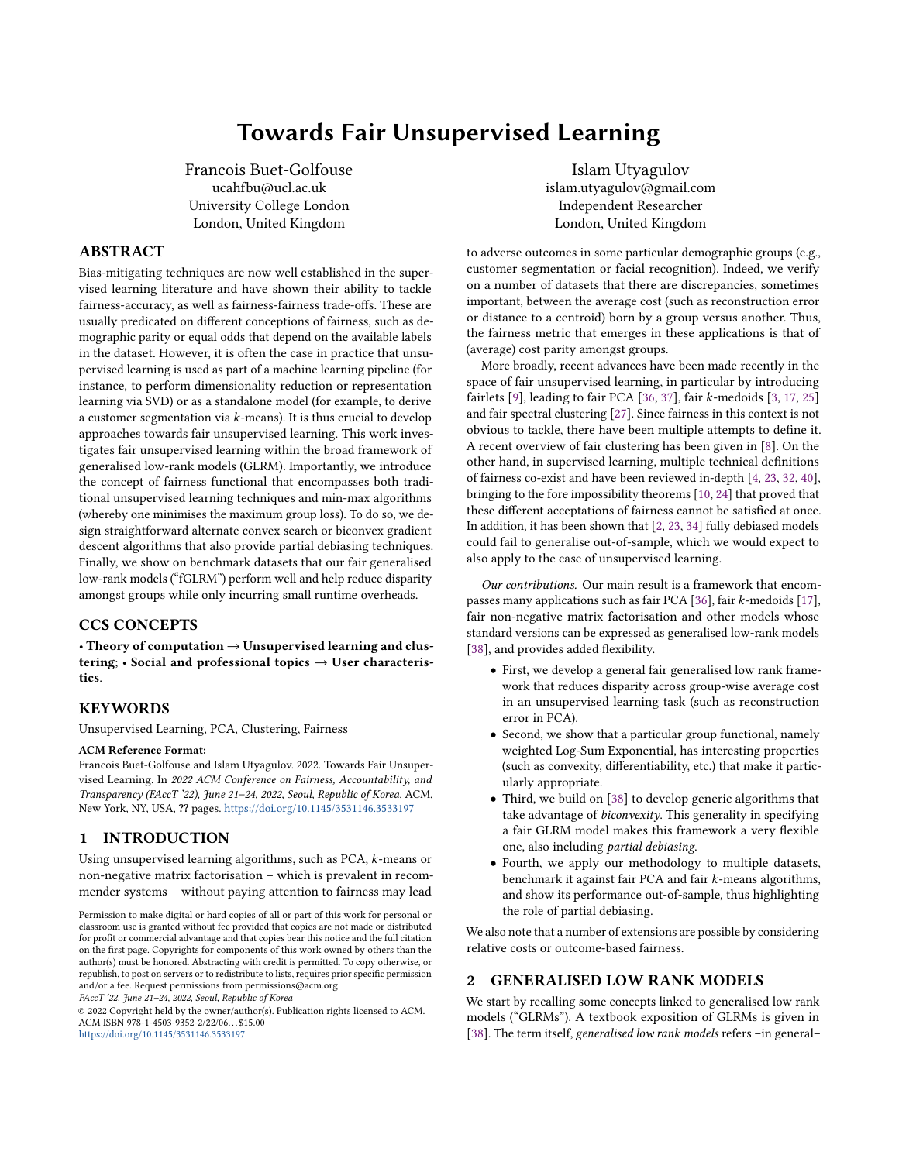Towards Fair Unsupervised Learning FACCT '22, June 21–24, 2022, Seoul, Republic of Korea

function  $\ell_{i,j}$  is biconvex in  $x_i$  and  $y_j$ , then the application

$$
(X,Y)\mapsto T(z_1(X,Y),\cdots,z_K(X,Y))\tag{11}
$$

is biconvex in X and Y. If, in addition, each penalty function  $r_i$  or  $\tilde{r}_j$  is convex then the application is convex, then the application

$$
(X, Y) \mapsto \mathcal{L}(X, Y)
$$
  
=  $T(z_1(X, Y), \dots, z_K(X, Y)) + \sum_{i=1}^n r_i(x_i) + \sum_{j=1}^p \tilde{r}_j(y_j)$  (12)

is biconvex in X and Y.

Proof. See Appendix C.2. □

What this result shows is that the introduction of a group functional does not change the fundamental structure of a generalised low rank model. This has implications in terms of optimisation, as existing algorithms can simply be tweaked and reused. While one may use gradient descent algorithms and variants thereof on the non-convex objective function (Equation [4\)](#page-2-0), more bespoke algorithms exist.

## 5.2 Alternating Minimisation (or Alternate Convex Search)

Alternating minimisation is a well-known algorithm that minimises the objective function one direction at the time. If the objective function is multi-convex (i.e., convex in each direction when the other ones are fixed), this is the same as alternate convex search. The reader is referred to [\[5,](#page-9-36) [18,](#page-9-37) [20\]](#page-9-38).

Algorithm 1 Alternating Minimisation for fGLRM D.1

**Require:** Matrix **A**, loss functions  $\ell_{i,j}$  and penalty functions  $r_i$ and  $\tilde{r}_j$ . Select initial values  $\mathrm{X}^0$  and  $\mathrm{Y}^0$ repeat for  $i = 1, \dots, n$  do  $x_i \leftarrow \arg \min_x \mathcal{L}((\mathbf{X}_{-i}, x), \mathbf{Y}) + r_i(x)$ end for for  $j = 1, \dots, p$  do y<sub>j</sub> ← arg min<sub>y</sub>  $\mathcal{L}(X, (Y_{-j}, y) + \tilde{r}_j(y))$ end for until convergence return <sup>X</sup>, <sup>Y</sup>

We have used the shorthand  $X = (X_{-i}, x_i)$  for all  $i = 1, \dots, n$ .<br>is algorithm is the adoptation to the foir set-up of Algorithm 1. This algorithm is the adaptation to the fair set-up of Algorithm 1 in [\[38\]](#page-9-16).

Remark 5. Let us make a couple of practical remarks at this stage.

- (1) The for loop  $i = 1, \dots, n$  in this algorithm may be replaced with a standard GLRM for loop if the penalty function  $r_i$  is a set indicator penalty (for instance in the case of clustering,  $r_i(x) = 0$  if  $x = e_i$  for some  $l \in \{1, \dots d\}$  and  $+\infty$  otherwise).<br>Due to overflow it may sometimes be necessary to express
- (2) Due to overflow, it may sometimes be necessary to express the fairness functional slightly differently. For instance,  $||z||_{p, w} =$

$$
||\mathbf{z}||_{\infty} \left\| \frac{\mathbf{z}}{\|\mathbf{z}\|_{\infty}} \right\|_{p,\mathbf{w}} \text{. Similarly, } wLSE_{\alpha}(\mathbf{z}) = ||\mathbf{z}||_{\infty} + wLSE_{\alpha}(z_1 - ||\mathbf{z}||_{\infty}, \dots, z_K - ||\mathbf{z}||_{\infty}).
$$

#### 5.3 Biconvex Gradient Descent

We suppose here that all functions are differentiable and that the penalty functions  $r_i$  and  $\tilde{r}_j$  are convex. Then, thanks to the biconvexity of  $\mathcal L$  in  $X$  and  $Y$ , one can derive the following expressions:

$$
\frac{\partial \mathcal{L}(X, Y)}{\partial x_i} = \frac{\partial T}{\partial z_{k(i)}} \frac{\partial z_{k(i)}}{\partial x_i} + \nabla r_i(x_i)
$$

$$
\frac{\partial \mathcal{L}(X, Y)}{\partial y_j} = \sum_{k=1}^K \frac{\partial T}{\partial z_k} \frac{\partial z_k}{\partial y_j} + \nabla \tilde{r}_j(y_j)
$$

where  $\frac{\partial z_{k(i)}}{\partial x_i} = \frac{1}{10}$  $\overline{\nabla}$   $\overline{\nabla}$   $\overline{\nabla}$   $(\mu, \mu, \lambda)$  and  $\partial T$  =  $W_k e^{\alpha z}$  $\frac{1}{|\Omega_{k(i)}|} \sum_j |(i,j) \in \Omega_{k(i)} \nabla \ell_{i,j}(x_i \cdot y_j; A_{ij}) y_j, \frac{\partial z_k}{\partial y_j} =$  $|\Omega_k|$  $\left(\sum_{i|(i,j)\in\Omega_k} \nabla \ell_{i,j}(x_i \cdot y_j; A_{ij})x_i\right)$ , and  $\frac{\partial T}{\partial z_k} = \frac{w_k e^{\alpha z_k}}{\sum_{k=1}^K w_k e^{\alpha z_k}}$  $\overline{\mathcal{L}}$  leads to a biconvex gradient descent algorithm: . This

#### Algorithm 2 Biconvex Gradient Descent D.3

**Require:** Matrix A, loss functions  $\ell_{i,j}$  and penalty functions  $r_i$ and  $\tilde{r}_j$ , step sizes  $(\alpha_t)_{t \geq 1}$ .<br>Select initial values  $\mathbf{X}^0$  or

Select initial values  $X^0$  and  $Y^0$  $t \leftarrow 1$ repeat for  $i = 1, \dots, n$  do<br>  $g_i^t \leftarrow \frac{\partial \mathcal{L}(X^{t-1}, Y^{t-1})}{\partial x^{t-1}}$  $g_i^t \leftarrow \frac{\partial \mathcal{L}(X^{t-1}, Y^{t-1})}{\partial x_i^{t-1}} \ \mathbf{x}_i^t \leftarrow x_i^{t-1} - \alpha_t g_i^t$ <br>
id for  $\operatorname*{end}\nolimits$  for for  $j = 1, \dots, p$  do<br> $\sum_{r=0}^{n} \frac{\partial f(X^t, Y^{t-1})}{\partial x^r}$  $\tilde{g}_j^t \leftarrow \frac{\partial \mathcal{L}(X^t, Y^{t-1})}{\partial y_j^{t-1}}$  $\tilde{y}_j^t \leftarrow y_j^{t-1} - \alpha_t \tilde{g}_j^t$  $\overset{\circ}{\mathbf{y}}$ end for j j  $t \leftarrow t + 1$ until convergence return  $X^t, Y^t$ 

The main difference between GLRMs and fGLRMS comes from their particular gradient structure and the fact that an iterative weighing scheme has implicitly been introduced, similarly to boosting. Indeed, by denoting

$$
\delta_k = \frac{\partial T}{\partial z_k} = \frac{w_k e^{\alpha z_k}}{\sum_{k=1}^K w_k e^{\alpha z_k}},
$$

we obtain that  $\delta_k \ge 0$  for all k's and  $\sum_{k=1}^K \delta_k = 1$ . When  $\alpha \to 0$ , we simply recover  $\delta_k = w_k$  and  $\delta_k$  does not change at each iteration we obtain that  $o_k \ge 0$  for all  $\kappa$  s and  $\sum_{k=1} o_k = 1$ . When  $\alpha \to 0$ , we simply recover  $\delta_k = w_k$ , and  $\delta_k$  does not change at each iteration.<br>On the other hand, when  $\alpha$  is non-zero, the weights are adaptive On the other hand, when  $\alpha$  is non-zero, the weights are adaptive and over-weigh the groups with higher average cost in the previous iteration.

Remark 6. Some convergence properties of these algorithms are discussed in the Appendix D.

# <span id="page-4-0"></span>6 OUTCOME-BASED FAIRNESS AND OTHER EXTENSIONS TO FGLRMS

In this Section, we show how alternative notions of fairness can be included in the fGLRM framework. Importantly, the alternating minimisation algorithm can still be applied to these cases.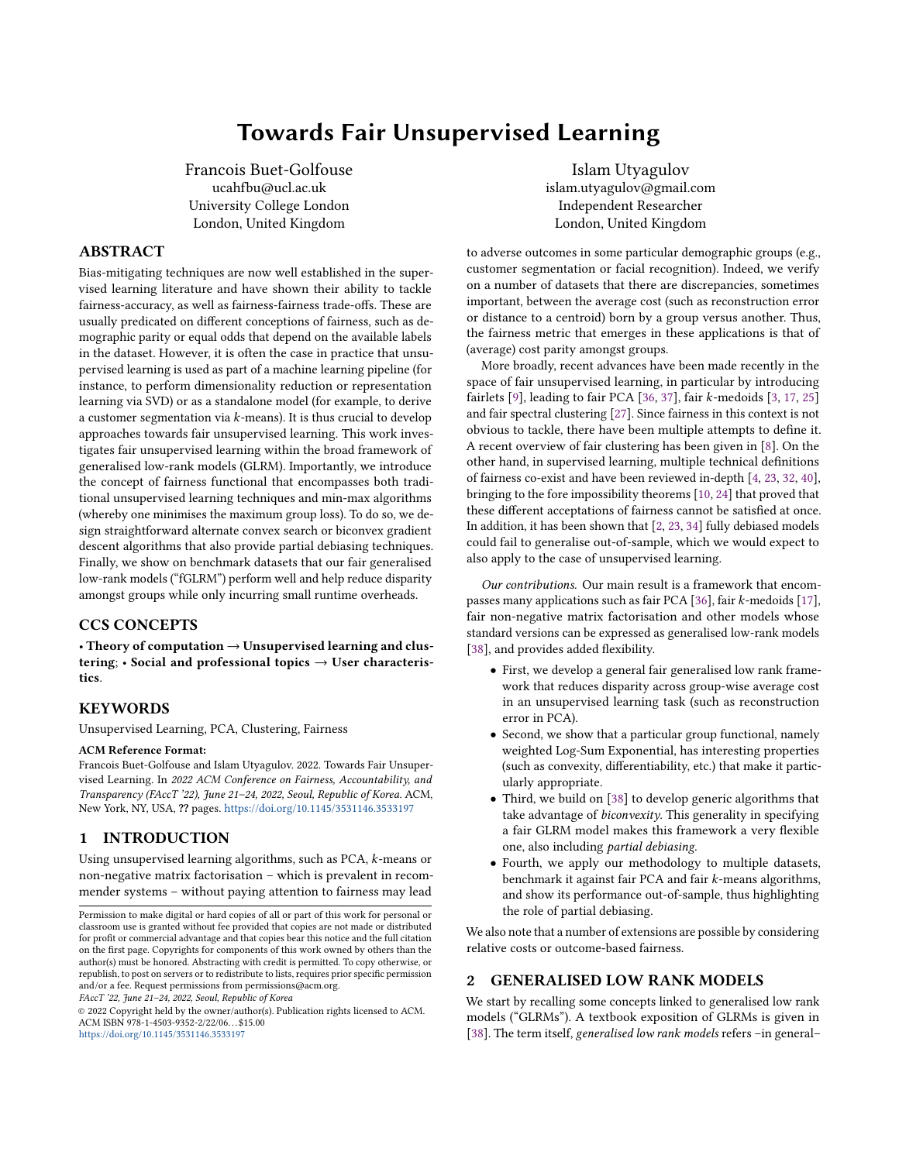## <span id="page-5-2"></span>6.1 Group functional on outcome disparity

Let us now adopt an outcome-based viewpoint on unsupervised learning. Here, we consider that one wishes to apply notions of demographic parity to the output of the unsupervised learning algorithm, which we consider here to be  $x_i \cdot y_j$ . In recommender systems, for example, one may wish to ensure that all groups have the same (predicted) average rating or satisfaction. One way to tackle this issue is to penalise the disparity between each group's average output and the overall average and redefine the objective function as

$$
\mathcal{L}^O(X,Y) := \frac{1}{|\Omega|} \sum_{(i,j)\in\Omega} \ell_{i,j}(x_i \cdot y_j, A_{i,j})
$$
  
+  $\gamma T(u_1(X,Y) - \overline{u}(X,Y), \cdots, u_K(X,Y) - \overline{u}(X,Y))$   
+  $\sum_{i=1}^n r_i(x_i) + \sum_{j=1}^p \tilde{r}_j(y_j)$ , (13)

where  $u_k(X, Y) := \frac{\sum_{(i,j)\in\Omega_k} x_i \cdot y_j}{\Omega_k}$  $\frac{\epsilon \Omega_k x_i \cdot y_j}{|\Omega_k|}$  is the average outcome in group k and  $\overline{u}(X, Y) := \frac{\sum_{(i,j)\in\Omega} x_i \cdot y_j}{|\Omega|}$  $\frac{C_1}{|\Omega|}$  is the (possibly reweighed) sample<br>`wI SE, thanks to its shift property, this can average. In the case of wLSE, thanks to its shift property, this can be rewritten as

$$
\frac{1}{|\Omega|} \sum_{(i,j)\in\Omega} \left( \ell_{i,j}(x_i \cdot y_j, A_{i,j}) - \gamma(x_i \cdot y_j) \right) + \gamma T(u_1(X, Y), \cdots, u_K(X, Y)) + \sum_{i=1}^n r_i(x_i) + \sum_{j=1}^p \tilde{r}_j(y_j), \quad (14)
$$

Importantly, this notion preserves the factorisation property of fGLRMS in the sense that non-penalty terms only depend on the dot product  $x_i \cdot y_j$  and is still an fGLRM.

#### 6.2 Integrating balanced notions of fairness

Let us focus here on additional notions of fairness [\[8\]](#page-9-7), specific to clustering and show how to tackle them. In the below, we consider that we wish to cluster data points from  $K$  groups into  $C$  clusters.

6.2.1 Balance fairness [\[9\]](#page-9-0). The (reformulated) notion of balance can be implemented in a slightly generalised version of our framework. Indeed, the following objective encourages proportions of points in cluster  $l$  to be similar across groups:

$$
\mathcal{L}^{\mathcal{B}}(X, Y) := \mathcal{L}(X, Y)
$$
  
+  $\gamma \sum_{l=1}^{C} T\left(\frac{\sum_{(i,j)\in\Omega_1} \mathbf{1}_{\{x_i = e_l\}}}{|\Omega_1|}, \dots, \frac{\sum_{(i,j)\in\Omega_K} \mathbf{1}_{\{x_i = e_l\}}}{|\Omega_K|}\right).$  (15)

6.2.2 Bounded representation [\[3\]](#page-9-3). Similarly, one can encode a notion such as bounded representation by introducing a new penalty term

$$
\mathcal{L}^{\mathcal{R}}(X,Y) := \mathcal{L}(X,Y) + \gamma \sum_{k=1}^{K} \sum_{l=1}^{C} r_{k,l} \left( \frac{\sum_{(i,j) \in \Omega_k} \mathbf{1}_{\{x_i = e_l\}}}{|\Omega_k|} \right), \tag{16}
$$

where  $r_{k,l}(p)$  is worth 0 if  $b \leq p \leq a$  and  $+\infty$  otherwise. Note that one needs to be careful with the initialisation of an algorithm with one needs to be careful with the initialisation of an algorithm with

<span id="page-5-1"></span>

| Dataset       | Reference | Binary                              | <b>Multivariate</b>                                                                                                                                   |
|---------------|-----------|-------------------------------------|-------------------------------------------------------------------------------------------------------------------------------------------------------|
| Adult         | $[14]$    | sex; female (16,192), male (32,650) | race; (white (41,762), black (4,685), other (406)<br>asian-pac-islander (1,519), amer-indian-eskimo (470)                                             |
| German Credit | $[14]$    | sex; female (310), male (610)       | sex & marital status; male : divorced/separated (50),<br>female : divorced/separated/married (392),<br>male: single (548); male: married/widowed (92) |
| Loan Defaults | [21]      | sex; female (11,888), male (18,112) |                                                                                                                                                       |
| LFW           | [16]      | sex; female (2,962), male (10,270)  | ۰                                                                                                                                                     |

Table 1: The details of binary and multivariate protected attribute in each dataset.

bounded representation and may wish to perform stratified sampling per group and per cluster and/or use a smooth representation of  $r_{k,l}(p)$ .

#### <span id="page-5-0"></span>7 EXPERIMENTAL EVALUATION

In this section, we demonstrate the following results.

- Multiple GLRMs. We consider PCA, <sup>k</sup>-means and nonnegative matrix factorisation (NMF) in our experiments.
- Reproducibility and convergence. Using our proposed wLSE functional with a large positive  $\alpha$  (10<sup>5</sup>), we are able to reproduce results from [17, 36] (which can also be recovered reproduce results from [\[17,](#page-9-4) [36\]](#page-9-1) (which can also be recovered by simply picking  $T = \max$  in our alternating minimisation approach).
- Partial Debiasing. By varying the  $\alpha$  hyperparameter in the wLSE functional, we obtain a full spectrum of results ranging from the standard GLRM, to intermediate states and the min-max solution. This points to the usual fairness-accuracy trade-off as the overall average cost tends to increase as disparity decreases.
- Generalisation. For each level of  $\alpha$ , we use the corresponding solution calibrated on the train set (i.e., we keep the for all *i*'s in the test set. This is similar to online dictionary<br>for all *i*'s in the test set. This is similar to online dictionary<br>learning We find that first the performance on the test set  $y_i$ 's fixed), and simply compute the new set of weights  $x_i$ learning. We find that, first, the performance on the test set (expectedly) deteriorates and, second, that the completely fair solution may have become sub-optimal. This reinforces the the attractiveness of partial debiasing, which can thus be interpreted as a fair regularisation.

#### 7.1 Data, models and approaches presented

7.1.1 Datasets. We have considered three datasets (whose details are indicated in Table [1\)](#page-5-1):

- German Credit [\[14\]](#page-9-39),
- Loan Default Credit [\[21\]](#page-9-40),
- $\bullet$  Adult [\[14\]](#page-9-39).

Throughout our experiments, groups have been defined in terms of membership to a class defined thanks to a protected characteristic, as detailed in Table [1.](#page-5-1)

Remark 7. Results in Figures [1-](#page-6-0) [2](#page-7-0) are based on the aforementioned datasets and in Table [1](#page-5-1) we provide additional details on the protected attribute used, as well as unique values and their counts. In Appendix E.3, we provide some additional results that are based on LFW (Labeled Faces in the Wild) dataset [\[16\]](#page-9-41).

7.1.2 fGLRMs under consideration. In this paper, we have implemented in the fGLRM framework the following objectives:

•  $k$ -Means (Figures [1](#page-6-0)[-4\)](#page-7-1),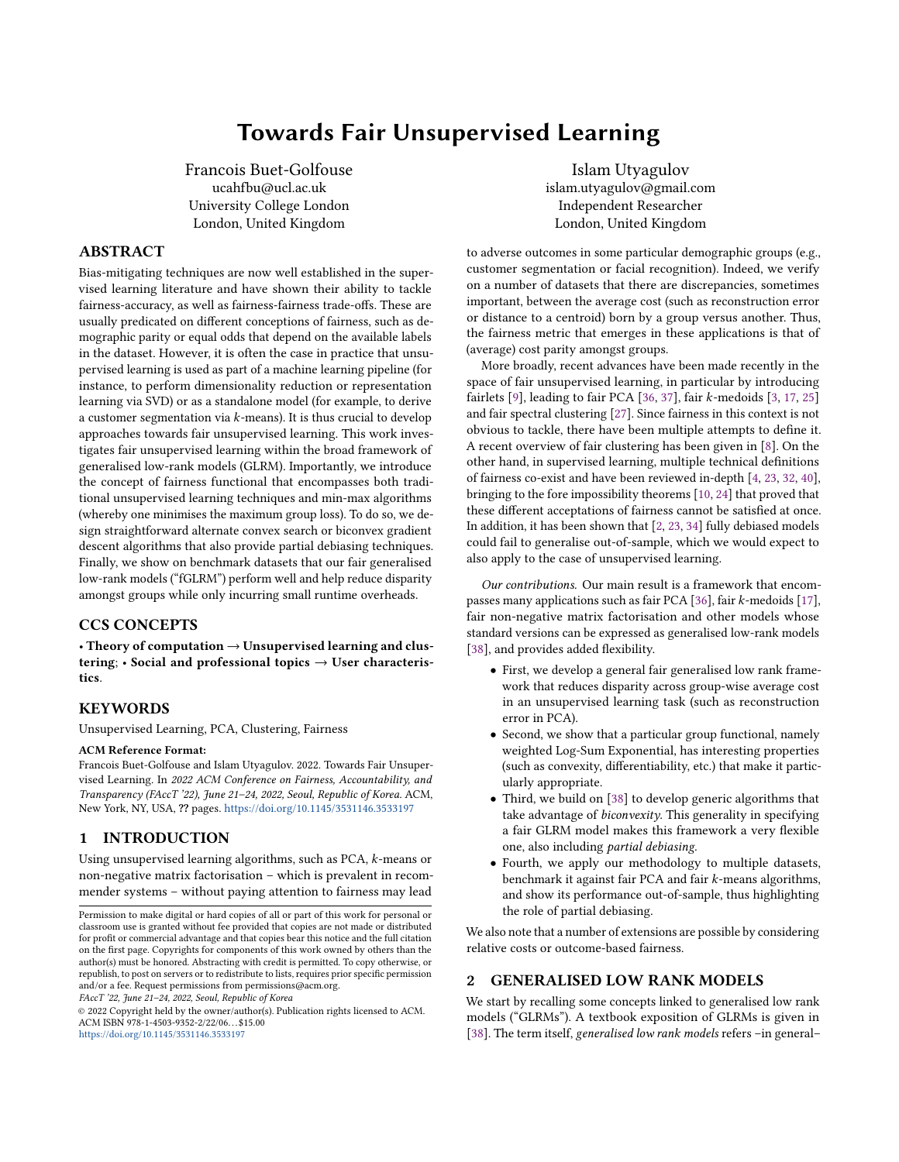- Principal Component Analysis (PCA) (Figures [5-](#page-8-0)[6\)](#page-8-1),
- Non-Negative Matrix factorization (NMF) (Figures 7-8 in Appendix E).

It has to be noted that the framework is flexible enough and allows for different modifications.

7.1.3 Fairness functionals and benchmarks. In addition to the wLSE functional, we have also considered a number of benchmarks:

- Standard GLRM (i.e., empirical average loss as in [\[38\]](#page-9-16));
- Reweighed GLRM (i.e., uniform weight  $1/K$  for each group, similar to [\[22\]](#page-9-29)), see Figure 8 in particular;
- Minmax approach (where  $T = \max$ ) as in [\[17,](#page-9-4) [36\]](#page-9-1);
- p-norm (or q-FFL) approach (in line with [\[28\]](#page-9-30), see Figure 7);

We have shown that the proposed framework can handle cases with two (see Figures [1](#page-6-0)[-2\)](#page-7-0) and more protected groups (see Figures [3-](#page-7-2)[4\)](#page-7-1). Figures [5](#page-8-0) - [6](#page-8-1) demonstrate results when using group functional on outcome disparity presented in Section [6.1.](#page-5-2) For each aforementioned result we also illustrate the trade-off curve that is obtained when varying  $\alpha$  parameter of wLSE functional<sup>[1](#page-0-0)</sup>.<br>Finally in Sections E 2 and E 3 we presented re

Finally in Sections E.2 and E.3 we presented results based on supervised GLRM and outcome-based fairness incorporating a penalty term discussed in Sections B and E.3.1 respectively.

Remark 8. In experiments where a test set is needed, we have used a 70%-30% train-test split. We have used stratified sampling with respect to the protected attribute to ensure that both train and test sets have the same proportion of observations belonging to different groups. The algorithm used throughout these tests is the standard alternating minimisation. When considering a grid of values for  $\alpha$ , we have considered the following values:  $10^{-6}$ ,  $10^{-5}$ ,  $3*$ <br> $10^{-3}$ ,  $10^{-2}$ ,  $10^{-1}$ ,  $5*10^{-1}$ ,  $15*10^{1}$ ,  $2*10^{1}$ ,  $6*10^{1}$ ,  $10^{2}$ ,  $10^{3}$ ,  $10^{4}$ ,  $10^{5}$  $10^{-3}$ ,  $10^{-2}$ ,  $10^{-1}$ ,  $5 * 10^{-1}$ ,  $1, 5, 10^{1}$ ,  $2 * 10^{1}$ ,  $6 * 10^{1}$ ,  $10^{2}$ ,  $10^{3}$ ,  $10^{4}$ ,  $10^{5}$ .

## 7.2 Main observations

Before delving into the precise results, we wish to summarise our key empirical findings.

First, considering a standard GLRM or a (partially) debiased one makes a difference both in terms of average statistical performance and disparity, thus indicating the presence of accuracy-fairness trade-offs in unsupervised learning too.

Second, "interpolating" techniques such as wLSE or q-FFL tend to offer similar results and converge to the minmax programme as their respective hyperparameter goes to  $\infty$ . In- and out-of-sample behaviour indicates that it is not always preferable to use the minmax formulation.

Third, using a reweighing scheme seems to help improve fairness in general (but not always), especially when  $\alpha$  is small. However, as  $\alpha$  increases, it becomes less relevant.

Fourth, the implementation within the fGLRM framework of the minmax approach or the adaptation of the q-FFL logic to unsupervised learning are straightforward and match results obtained via other algorithms. This underlines the interest in having a generic framework that accommodates easily many different functionals.

#### 7.3 Varying the hyperparameter  $\alpha$

Having established that the fGLRM approach can replicate previous results, we demonstrate some of its further benefits, such as its ability to interpolate between standard (i.e., no fairness considerations) and min-max solutions, with the degree of interpolation being controlled by a parameter  $\alpha$  as shown in Equation [8.](#page-3-0) Figure [1](#page-6-0) shows how both total loss and group disparity changes on the train set, as we vary parameter  $\alpha$  through a grid of values. The larger values of  $\alpha$  decrease group disparity, while smaller values bring solution closer to the standard solution.

In Figures [1-](#page-6-0)[6,](#page-8-1) we use the following notations: "average" point is the solution of a standard algorithm, "min-max" point corresponds to the solution of wLSE with the largest  $\alpha = 10^5$ , while all other points are denoted as w<sup>1</sup>SE, and correspond to the remaining points are denoted as  $wLSE_\alpha$  and correspond to the remaining values of  $\alpha$ . The size of points is ordered according to the  $\alpha$  used and the dotted line is a local regression line through the points.

<span id="page-6-0"></span>

Figure 1: KMeans. Trade-off curve between the average loss and group disparity on the *train set* with  $wLSE_\alpha$  functional on adult, german credit, and loan defaults' datasets. Each point corresponds to a different  $\alpha$ .

Key takeaway. Results presented in Figure [1](#page-6-0) are intuitive: decreasing the disparity amongst groups increases the overall loss,

<sup>&</sup>lt;sup>1</sup>When q-FFL functional used  $q$  parameter is varied instead.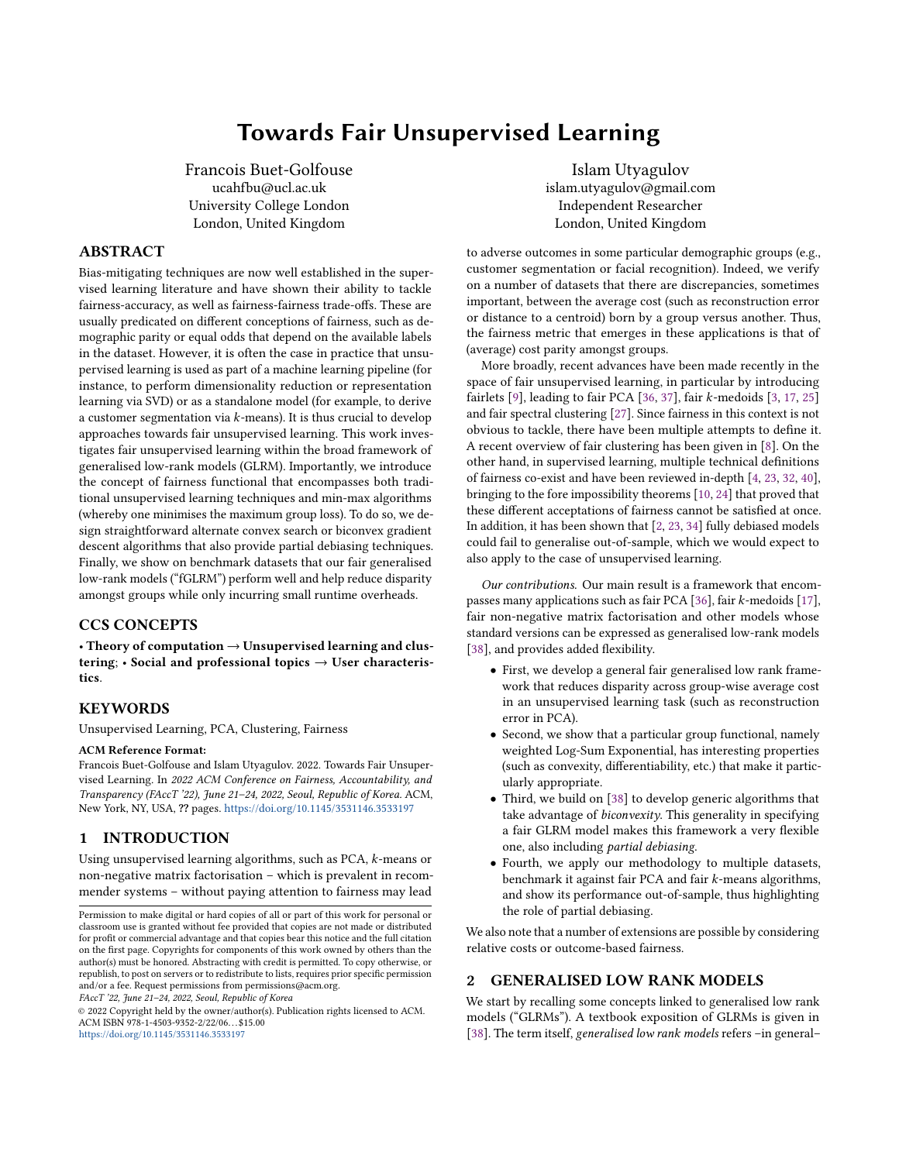and vice versa, which illustrates the fairness-accuracy trade-off [\[24\]](#page-9-13) in the case of unsupervised learning.

## 7.4 Generalisation

To check whether debiasing generalises in fGLRMs, we consider out-of-sample behaviour and assess the performance of the fitted fGLRMs on a test set. The idea here is to keep "archetypes"Y learned on the train set fixed and solve for the best feature representations  $X_{test}$  of test set examples:  $\frac{1}{|\Omega|} \sum_{j:(i,j) \in \Omega} \ell_{i,j}(x_i \cdot y_j^{train}, A_{i,j}^{test}) +$  $\sum_{i=1}^{n} r_i(x_i)$ . Once these are learned, computing average loss or<br> $\sum_{i=1}^{m} r_i(x_i)$ . Once these are learned, computing average loss or  $\sum_{i=1}^{\infty} r_i(x_i)$ . Once these are learned, computing average loss or group disparity is straightforward. For the sake of brevity, we only focus on k-means, and thus allocate test observations to the nearest centroid obtained during training. Despite a clear pattern on the train set, it is not always the case on the test set for different data sets as shown in Figure [2,](#page-7-0) in line with results pertaining to supervised learning [\[2\]](#page-9-14).

<span id="page-7-0"></span>Key takeaway. This suggests carefully choosing  $\alpha$  and using cross-validation techniques, depending on the exact use case.



Figure 2: KMeans. Trade-off curve between average loss and group disparity on the test set with wLSE functional on adult, german credit, and loan defaults' datasets.

Remark 9. Additional results are presented in the Appendix E.

<span id="page-7-2"></span>

Figure 3: KMeans. Trade-off curve between average loss and group disparity on the train set with wLSE functional on adult and german credit datasets. Protected attribute is a multivariate feature (race in adult dataset, sex and marital status in german credit dataset respectively).

<span id="page-7-1"></span>

Figure 4: KMeans. Trade-off curve between average loss and group disparity on the test set with wLSE functional on adult and german credit datasets. Protected attribute is a multivariate feature (race in adult dataset, sex and marital status in german credit dataset respectively).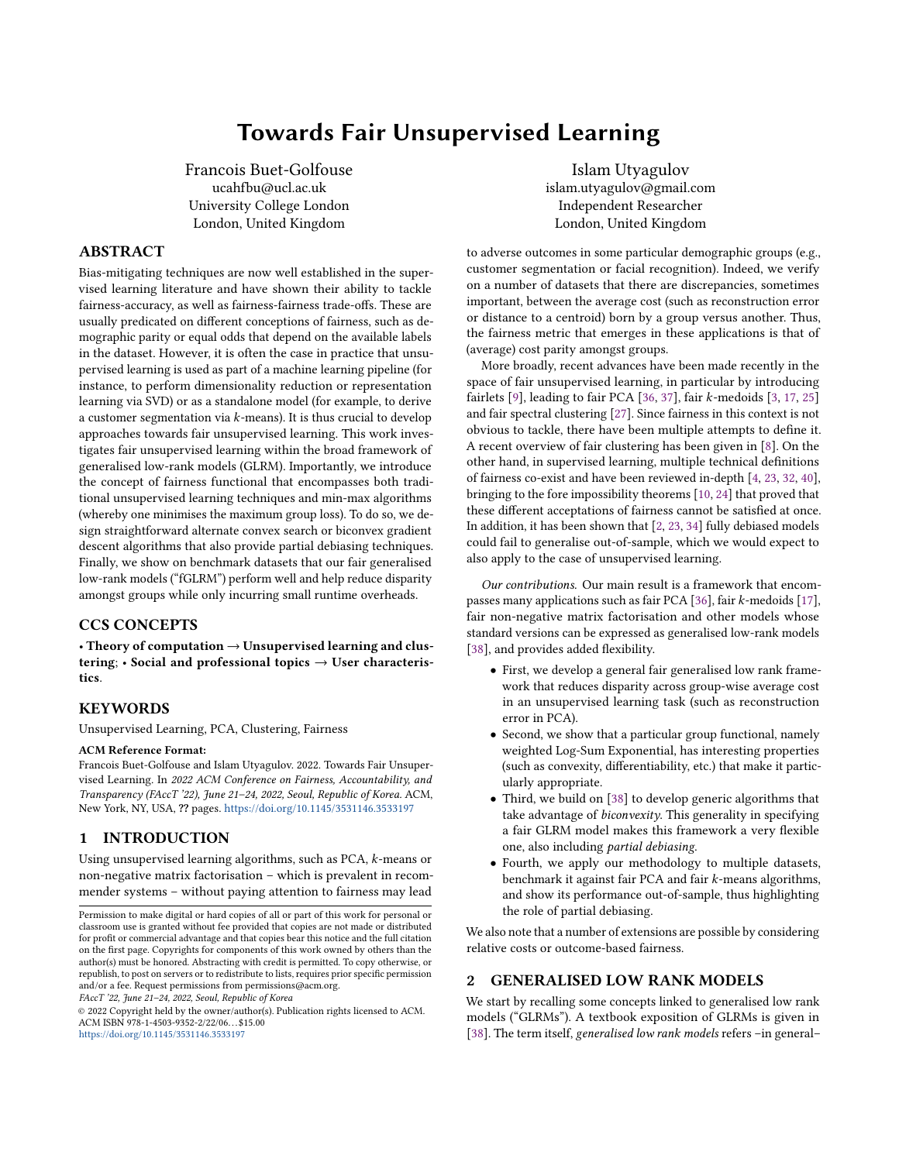<span id="page-8-0"></span>



Figure 5: PCA. Trade-off curve between average loss and group outcome disparity on the train set with wLSE functional on adult, german credit, and loan defaults' datasets.

## 8 DISCUSSION

In this paper, we have introduced the notion of fair generalised low rank models by applying a fairness functional to group-wise average losses, leading to a reduction in cost disparity across groups. Building fair GLRMs has enabled us to devise a generic framework encompassing fair PCA and fair k-means, but also applicable to many other use cases, such as sparse PCA, non-negative matrix factorisation, subspace clustering and many more.

We have also specified a particular choice of such fairness functional, namely the weighted Log-Sum Exponential, which has many desirable properties. This permits users to select a hyper-parameter  $\alpha$  that governs the fairness-accuracy trade-off. The importance of debiasing is emphasised by some of our out-of-sample results, showing that total debiasing in-sample may lead to very different results out-of-sample. In addition, we have shown that straightforward algorithms based on biconvexity (or variants thereof) could be efficiently leveraged to solve these fair objective functions. fGLRMs thus inherit some properties of GLRMs.

Finally, some extensions are straightforward, such as including orthogonality constraints between the learnt dictionary and the

Towards Fair Unsupervised Learning FACCT '22, June 21–24, 2022, Seoul, Republic of Korea

<span id="page-8-1"></span>

Figure 6: PCA. Trade-off curve between average loss and group outcome disparity on the test set with wLSE functional on adult, german credit, and loan defaults' datasets.

specified protected characteristic. However, further research is warranted to understand how to transpose multiple fairness definitions from classification or regression to unsupervised learning and how to assess out-of-sample performance.

# ACKNOWLEDGMENTS

The authors did not receive funding for this project. This paper was prepared for informational purposes by the authors, and is not a product of any institution's Research Department. The views expressed therein are solely those of the authors and do not reflect those of any institution or employer, past and present. The authors make no representation and warranty whatsoever and disclaim all liability, for the completeness, accuracy or reliability of the information contained herein. This document is not intended as investment research or investment advice, or a recommendation, offer or solicitation for the purchase or sale of any security, financial instrument, financial product or service, or to be used in any way for evaluating the merits of participating in any transaction, and shall not constitute a solicitation under any jurisdiction or to any person, if such solicitation under such jurisdiction or to such person would be unlawful.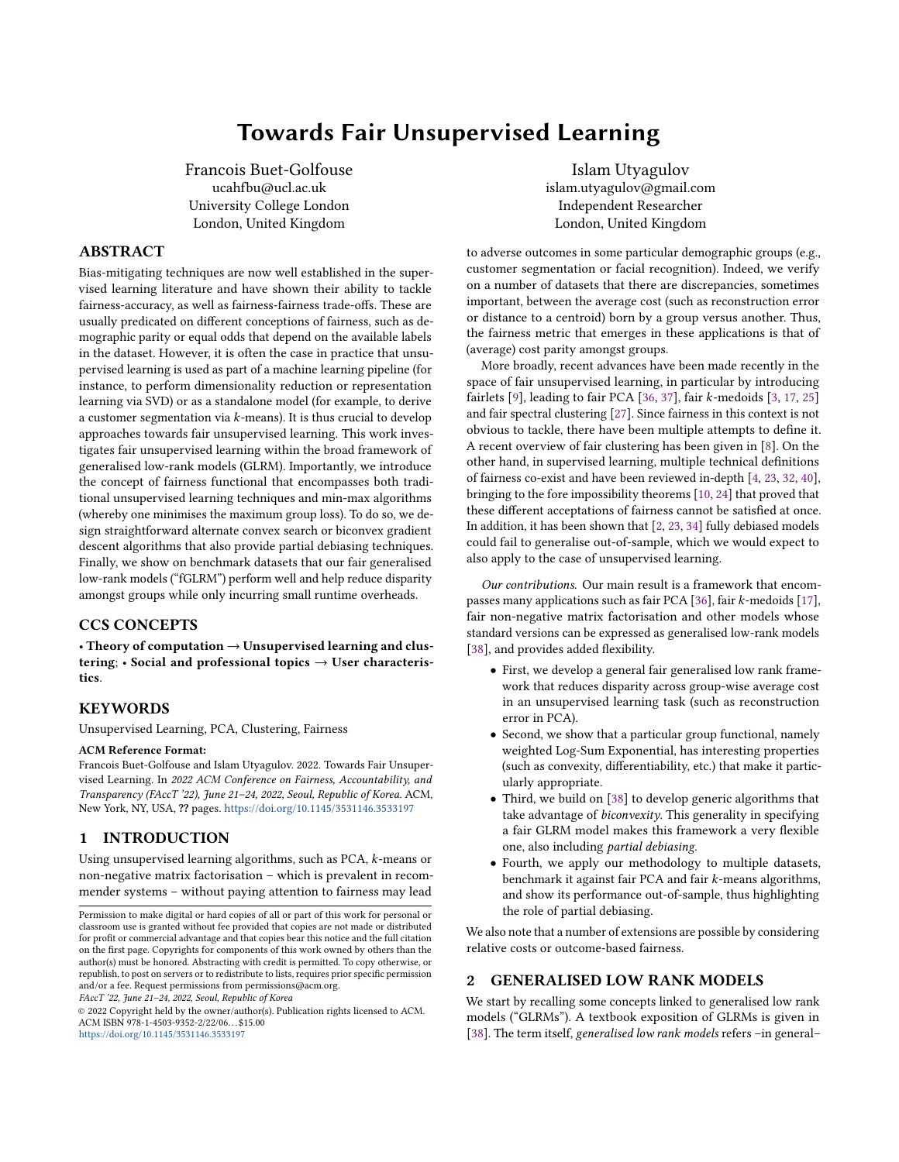#### **REFERENCES**

- <span id="page-9-22"></span>[1] Mohsen Abbasi, Aditya Bhaskara, and Suresh Venkatasubramanian. 2021. Fair Clustering via Equitable Group Representations. In Proceedings of the 2021 ACM Conference on Fairness, Accountability, and Transparency (Virtual Event, Canada) (FAccT '21). Association for Computing Machinery, New York, NY, USA, 504–514. <https://doi.org/10.1145/3442188.3445913>
- <span id="page-9-14"></span>[2] Ashrya Agrawal, Florian Pfisterer, Bernd Bischl, Jiahao Chen, Srijan Sood, Sameena Shah, Francois Buet-Golfouse, Bilal A Mateen, and Sebastian Vollmer. 2020. Debiasing classifiers: is reality at variance with expectation?
- <span id="page-9-3"></span>[3] Sara Ahmadian, Alessandro Epasto, Ravi Kumar, and Mohammad Mahdian. 2019. Clustering without Over-Representation. In Proceedings of the 25th ACM SIGKDD International Conference on Knowledge Discovery and Data Mining (Anchorage, AK, USA) (KDD '19). Association for Computing Machinery, New York, NY, USA, 267–275. <https://doi.org/10.1145/3292500.3330987>
- <span id="page-9-8"></span>[4] Richard Berk, Hoda Heidari, Shahin Jabbari, Michael Kearns, and Aaron Roth. 2018. Fairness in Criminal Justice Risk Assessments: The State of the Art. Sociological Methods & Research (Aug. 2018), 42 pages. [https://doi.org/10.1177/](https://doi.org/10.1177/0049124118782533) [0049124118782533](https://doi.org/10.1177/0049124118782533) arXiv[:1703.09207](https://arxiv.org/abs/1703.09207)
- <span id="page-9-36"></span>[5] Stephen Boyd and Lieven Vandenberghe. 2004. Convex optimization. Cambridge University Press.
- <span id="page-9-19"></span>[6] Flavio Calmon, Dennis Wei, Bhanukiran Vinzamuri, Karthikeyan Natesan Ramamurthy, and Kush R Varshney. 2017. Optimized pre-processing for discrimination prevention. In Advances in Neural Information Processing Systems, I. Guyon, U. V. Luxburg, S. Bengio, H. Wallach, R. Fergus, S. Vishwanathan, and R. Garnett (Eds.), Vol. 30. Curran Associates, Long Beach, CA, 3992–4001. [http://papers.nips.cc/](http://papers.nips.cc/paper/6988-optimized-pre-processing-for-discrimination-prevention.pdf) [paper/6988-optimized-pre-processing-for-discrimination-prevention.pdf](http://papers.nips.cc/paper/6988-optimized-pre-processing-for-discrimination-prevention.pdf)
- <span id="page-9-23"></span>[7] Elisa Celis, Vijay Keswani, Damian Straszak, Amit Deshpande, Tarun Kathuria, and Nisheeth Vishnoi. 2018. Fair and Diverse DPP-Based Data Summarization. In Proceedings of the 35th International Conference on Machine Learning (Proceedings of Machine Learning Research, Vol. 80), Jennifer Dy and Andreas Krause (Eds.). PMLR, 716–725. <https://proceedings.mlr.press/v80/celis18a.html>
- <span id="page-9-7"></span>[8] Anshuman Chhabra, Karina Masalkovaite, and Prasant Mohapatra, 2021. An Overview of Fairness in Clustering. IEEE Access 9 (2021), 130698–130720. [https:](https://doi.org/10.1109/ACCESS.2021.3114099) [//doi.org/10.1109/ACCESS.2021.3114099](https://doi.org/10.1109/ACCESS.2021.3114099)
- <span id="page-9-0"></span>[9] Flavio Chierichetti, Ravi Kumar, Silvio Lattanzi, and Sergei Vassilvitskii. 2017. Fair Clustering through Fairlets. In Proceedings of the 31st International Conference on Neural Information Processing Systems (Long Beach, California, USA) (NIPS'17). Curran Associates Inc., Red Hook, NY, USA, 5036–5044.
- <span id="page-9-12"></span>[10] Alexandra Chouldechova. 2017. Fair Prediction with Disparate Impact: A Study of Bias in Recidivism Prediction Instruments. Big Data 5, 2 (June 2017), 153–163. <https://doi.org/10.1089/big.2016.0047> arXiv[:1703.00056](https://arxiv.org/abs/1703.00056)
- <span id="page-9-17"></span>[11] Alexandra Chouldechova. 2017. Fair prediction with disparate impact: A study of bias in recidivism prediction instruments. Big Data 5, 2 (2017), 153–163. <https://doi.org/10.1089/big.2016.0047>
- <span id="page-9-35"></span>[12] Ching-Yao Chuang and Youssef Mroueh. 2021. Fair Mixup: Fairness via Interpolation. In International Conference on Learning Representations. [https:](https://openreview.net/forum?id=DNl5s5BXeBn) [//openreview.net/forum?id=DNl5s5BXeBn](https://openreview.net/forum?id=DNl5s5BXeBn)
- <span id="page-9-31"></span>[13] Michele Donini, Luca Oneto, Shai Ben-David, John S Shawe-Taylor, and Massimiliano Pontil. 2018. Empirical Risk Minimization Under Fairness Constraints. In Advances in Neural Information Processing Systems, S. Bengio, H. Wallach, H. Larochelle, K. Grauman, N. Cesa-Bianchi, and R. Garnett (Eds.), Vol. 31. Curran Associates, Inc. [https://proceedings.neurips.cc/paper/2018/file/](https://proceedings.neurips.cc/paper/2018/file/83cdcec08fbf90370fcf53bdd56604ff-Paper.pdf) [83cdcec08fbf90370fcf53bdd56604ff-Paper.pdf](https://proceedings.neurips.cc/paper/2018/file/83cdcec08fbf90370fcf53bdd56604ff-Paper.pdf)
- <span id="page-9-39"></span>[14] Dheeru Dua and Casey Graff. 2017. UCI Machine Learning Repository. [http:](http://archive.ics.uci.edu/ml) /archive.ics.uci.edu/ml
- <span id="page-9-33"></span>[15] William Fithian and Rahul Mazumder. 2018. Flexible Low-Rank Statistical Modeling with Missing Data and Side Information. Statist. Sci. 33, 2 (2018), 238 – 260. <https://doi.org/10.1214/18-STS642>
- <span id="page-9-41"></span>[16] Tamara Berg Gary B. Huang, Manu Ramesh and Erik Learned-Miller. 2007. Labeled faces in the wild: A database for studying face recognition in unconstrained environments. 49, 07 (2007).
- <span id="page-9-4"></span>[17] Mehrdad Ghadiri, Samira Samadi, and Santosh Vempala. 2021. Socially Fair K-Means Clustering. In Proceedings of the 2021 ACM Conference on Fairness, Accountability, and Transparency (Virtual Event, Canada) (FAccT '21). Association for Computing Machinery, New York, NY, USA, 438–448. [https://doi.org/10.](https://doi.org/10.1145/3442188.3445906) [1145/3442188.3445906](https://doi.org/10.1145/3442188.3445906)
- <span id="page-9-37"></span>[18] Jochen Gorski, Frank Pfeuffer, and Kathrin Klamroth. 2007. Biconvex sets and optimization with biconvex functions: a survey and extensions. Mathematical Methods of Operations Research 66 (2007). [https://doi.org/10.1007/s00186-007-](https://doi.org/10.1007/s00186-007-0161-1) [0161-1](https://doi.org/10.1007/s00186-007-0161-1)
- <span id="page-9-18"></span>[19] Moritz Hardt, Eric Price, and Nathan Srebro. 2016. Equality of opportunity in supervised learning. Advances in Neural Information Processing Systems 29 (Dec. 2016), 3323–3331. <https://doi.org/10.5555/3157382.3157469> arXiv[:1610.02413](https://arxiv.org/abs/1610.02413)
- <span id="page-9-38"></span>[20] Trevor Hastie, Robert Tibshirani, and Martin Wainwright. 2015. Statistical Learning with Sparsity: The Lasso and Generalizations. Chapman & Hall/CRC.
- <span id="page-9-40"></span>[21] & Che-hui Lien I-Cheng Yeh. 2009. The comparisons of data mining techniques for the predictive accuracy of probability of default of credit card clients. Expert

Systems with Applications 2, 36 (2009), 2473–2480. [https://doi.org/10.1016/J.](https://doi.org/10.1016/J.ESWA.2007.12.020) [ESWA.2007.12.020](https://doi.org/10.1016/J.ESWA.2007.12.020)

- <span id="page-9-29"></span>[22] Faisal Kamiran and Toon Calders. 2012. Data preprocessing techniques for classification without discrimination. Knowledge and Information Systems 33, 1 (2012), 1–33.
- <span id="page-9-9"></span>[23] Joon Sik Kim, Jiahao Chen, and Ameet Talwalkar. 2020. Model-Agnostic Characterization of Fairness Trade-offs. In Proceedings of the International Con-<br>ference on Machine Learning, Vienna, Austria / Online, 9339-9349. https: ference on Machine Learning. Vienna, Austria / Online, 9339-9349. [//proceedings.icml.cc/paper/2020/hash/cf5530d9e441e0d78574353214373569](https://proceedings.icml.cc/paper/2020/hash/cf5530d9e441e0d78574353214373569)
- <span id="page-9-13"></span>[24] Jon Kleinberg, Sendhil Mullainathan, and Manish Raghavan. 2017. Inherent Trade-Offs in the Fair Determination of Risk Scores. In Proceedings of the 8th Innovations in Theoretical Computer Science Conference (Leibniz International Proceedings in Informatics (LIPIcs), Vol. 67), Christos H. Papadimitriou (Ed.). Schloss Dagstuhl– Leibniz-Zentrum fuer Informatik, Dagstuhl, Germany, Article 43, 23 pages. [https:](https://doi.org/10.4230/LIPIcs.ITCS.2017.43) [//doi.org/10.4230/LIPIcs.ITCS.2017.43](https://doi.org/10.4230/LIPIcs.ITCS.2017.43)
- <span id="page-9-5"></span>[25] Matthäus Kleindessner, Pranjal Awasthi, and Jamie Morgenstern. 2019. Fair k-Center Clustering for Data Summarization. In Proceedings of the 36th International Conference on Machine Learning (Proceedings of Machine Learning Research, Vol. 97), Kamalika Chaudhuri and Ruslan Salakhutdinov (Eds.). PMLR, 3448–3457. <https://proceedings.mlr.press/v97/kleindessner19a.html>
- <span id="page-9-28"></span>[26] Matthäus Kleindessner, Pranjal Awasthi, and Jamie Morgenstern. 2020. A Notion of Individual Fairness for Clustering. arXiv[:2006.04960](https://arxiv.org/abs/2006.04960) [stat.ML]
- <span id="page-9-6"></span>[27] Matthäus Kleindessner, Samira Samadi, Pranjal Awasthi, and Jamie Morgenstern. 2019. Guarantees for Spectral Clustering with Fairness Constraints. In Proceedings of the 36th International Conference on Machine Learning (Proceedings of Machine Learning Research, Vol. 97), Kamalika Chaudhuri and Ruslan Salakhutdinov (Eds.). PMLR, 3458–3467. <https://proceedings.mlr.press/v97/kleindessner19b.html>
- <span id="page-9-30"></span>[28] Tian Li, Maziar Sanjabi, Ahmad Beirami, and Virginia Smith. 2020. Fair Resource Allocation in Federated Learning. In International Conference on Learning Representations. <https://openreview.net/forum?id=ByexElSYDr>
- <span id="page-9-24"></span>[29] Yunqi Li, Hanxiong Chen, Zuohui Fu, Yingqiang Ge, and Yongfeng Zhang. 2021. User-Oriented Fairness in Recommendation. In Proceedings of the Web Conference 2021 (Ljubljana, Slovenia) (WWW '21). Association for Computing Machinery, New York, NY, USA, 624–632. <https://doi.org/10.1145/3442381.3449866>
- <span id="page-9-26"></span>[30] Yury Makarychev and Ali Vakilian. 2021. Approximation Algorithms for Socially Fair Clustering. arXiv[:2103.02512](https://arxiv.org/abs/2103.02512) [cs.DS]
- <span id="page-9-21"></span>[31] Geoffrey J McLachlan and Kaye E Basford. 1988. Mixture models: Inference and applications to clustering. Vol. 38. M. Dekker New York.
- <span id="page-9-10"></span>[32] Arvind Narayanan. 2018. Translation tutorial: 21 fairness definitions and their politics. In Proceedings of the Conference on Fairness, Accountability and Transparency (FAT\* 18). New York, USA.
- <span id="page-9-34"></span>[33] Frank Nielsen and Ke Sun. 2016. Guaranteed Bounds on Information-Theoretic Measures of Univariate Mixtures Using Piecewise Log-Sum-Exp Inequalities. Entropy 18, 12 (2016). <https://doi.org/10.3390/e18120442>
- <span id="page-9-15"></span>[34] Geoff Pleiss, Manish Raghavan, Felix Wu, Jon Kleinberg, and Kilian Q Weinberger. 2017. On fairness and calibration. In Advances in Neural Information Processing Systems, I. Guyon, U. V. Luxburg, S. Bengio, H. Wallach, R. Fergus, S. Vishwanathan, and R. Garnett (Eds.), Vol. 30. Curran Associates, Inc., 5680–5689. <http://papers.nips.cc/paper/7151-on-fairness-and-calibration.pdf>
- <span id="page-9-27"></span>[35] John Rawls. 1971. A Theory of Justice (1 ed.). Belknap Press of Harvard University Press.
- <span id="page-9-1"></span>[36] Samira Samadi, Uthaipon Tantipongpipat, Jamie Morgenstern, Mohit Singh, and Santosh Vempala. 2018. The Price of Fair PCA: One Extra Dimension. In Proceedings of the 32nd International Conference on Neural Information Processing Systems (Montréal, Canada) (NIPS'18). Curran Associates Inc., Red Hook, NY, USA, 10999–11010.
- <span id="page-9-2"></span>[37] Uthaipon Tantipongpipat, Samira Samadi, Mohit Singh, Jamie H Morgenstern, and Santosh Vempala. 2019. Multi-Criteria Dimensionality Reduction with Applications to Fairness. In Advances in Neural Information Processing Systems, H. Wallach, H. Larochelle, A. Beygelzimer, F. d'Alché-Buc, E. Fox, and R. Garnett (Eds.), Vol. 32. Curran Associates, Inc. [https://proceedings.neurips.cc/paper/](https://proceedings.neurips.cc/paper/2019/file/2201611d7a08ffda97e3e8c6b667a1bc-Paper.pdf) [2019/file/2201611d7a08ffda97e3e8c6b667a1bc-Paper.pdf](https://proceedings.neurips.cc/paper/2019/file/2201611d7a08ffda97e3e8c6b667a1bc-Paper.pdf)
- <span id="page-9-16"></span>[38] Madeleine Udell, Corinne Horn, Reza Zadeh, and Stephen Boyd. 2016. Generalized Low Rank Models. Foundations and Trends in Machine Learning 9, 1 (2016). <https://doi.org/10.1561/2200000055> arXiv[:1410.0342](https://arxiv.org/abs/1410.0342) [stat-ml]
- <span id="page-9-32"></span>[39] US Congress. 2003. P. L. 108-159: Fair and Accurate Credit Transactions Act. <https://www.gpo.gov/fdsys/pkg/PLAW-108publ159/pdf/PLAW-108publ159.pdf>
- <span id="page-9-11"></span>[40] Sahil Verma and Julia Rubin. 2018. Fairness definitions explained. In Proceedings of the International Conference on Software Engineering. ACM, New York, NY, USA, 1–7. <https://doi.org/10.1145/3194770.3194776>
- <span id="page-9-20"></span>[41] Richard Zemel, Yu Wu, Kevin Swersky, Toniann Pitassi, and Cynthia Dwork. 2013. Learning fair representations. In Proceedings of Machine Learning Research, Vol. 28. 1362–1370. <http://proceedings.mlr.press/v28/zemel13.html>
- <span id="page-9-25"></span>[42] Ziwei Zhu, Jianling Wang, and James Caverlee. 2020. Measuring and Mitigating Item Under-Recommendation Bias in Personalized Ranking Systems. In Proceedings of the 43rd International ACM SIGIR Conference on Research and Development in Information Retrieval (Virtual Event, China) (SIGIR '20). Association for Computing Machinery, New York, NY, USA, 449–458. [https:](https://doi.org/10.1145/3397271.3401177)